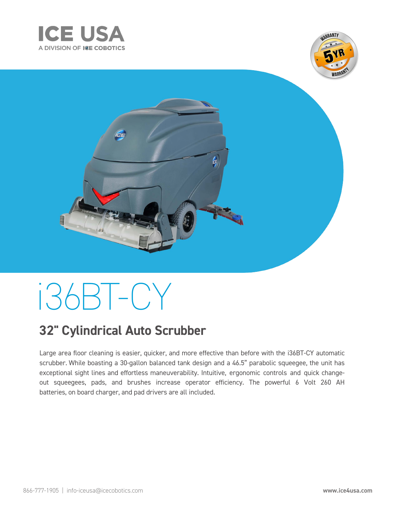





# i36BT-CY

## **32" Cylindrical Auto Scrubber**

Large area floor cleaning is easier, quicker, and more effective than before with the i36BT-CY automatic scrubber. While boasting a 30-gallon balanced tank design and a 46.5" parabolic squeegee, the unit has exceptional sight lines and effortless maneuverability. Intuitive, ergonomic controls and quick changeout squeegees, pads, and brushes increase operator efficiency. The powerful 6 Volt 260 AH batteries, on board charger, and pad drivers are all included.